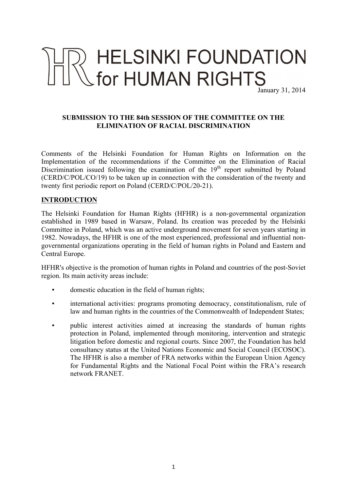# HELSINKI FOUNDATION<br>Stor HUMAN RIGHTS January 31, 2014

#### **SUBMISSION TO THE 84th SESSION OF THE COMMITTEE ON THE ELIMINATION OF RACIAL DISCRIMINATION**

Comments of the Helsinki Foundation for Human Rights on Information on the Implementation of the recommendations if the Committee on the Elimination of Racial Discrimination issued following the examination of the  $19<sup>th</sup>$  report submitted by Poland (CERD/C/POL/CO/19) to be taken up in connection with the consideration of the twenty and twenty first periodic report on Poland (CERD/C/POL/20-21).

## **INTRODUCTION**

The Helsinki Foundation for Human Rights (HFHR) is a non-governmental organization established in 1989 based in Warsaw, Poland. Its creation was preceded by the Helsinki Committee in Poland, which was an active underground movement for seven years starting in 1982. Nowadays, the HFHR is one of the most experienced, professional and influential nongovernmental organizations operating in the field of human rights in Poland and Eastern and Central Europe.

HFHR's objective is the promotion of human rights in Poland and countries of the post-Soviet region. Its main activity areas include:

- domestic education in the field of human rights;
- international activities: programs promoting democracy, constitutionalism, rule of law and human rights in the countries of the Commonwealth of Independent States;
- public interest activities aimed at increasing the standards of human rights protection in Poland, implemented through monitoring, intervention and strategic litigation before domestic and regional courts. Since 2007, the Foundation has held consultancy status at the United Nations Economic and Social Council (ECOSOC). The HFHR is also a member of FRA networks within the European Union Agency for Fundamental Rights and the National Focal Point within the FRA's research network FRANET.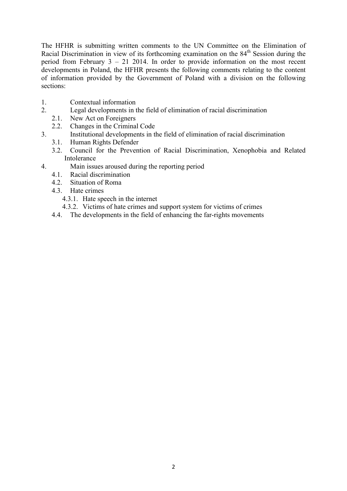The HFHR is submitting written comments to the UN Committee on the Elimination of Racial Discrimination in view of its forthcoming examination on the 84<sup>th</sup> Session during the period from February 3 – 21 2014. In order to provide information on the most recent developments in Poland, the HFHR presents the following comments relating to the content of information provided by the Government of Poland with a division on the following sections:

- 1. Contextual information
- 2. Legal developments in the field of elimination of racial discrimination
	- 2.1. New Act on Foreigners
		- 2.2. Changes in the Criminal Code
- 3. Institutional developments in the field of elimination of racial discrimination
	- 3.1. Human Rights Defender
	- 3.2. Council for the Prevention of Racial Discrimination, Xenophobia and Related Intolerance
- 4. Main issues aroused during the reporting period
	- 4.1. Racial discrimination
	- 4.2. Situation of Roma
	- 4.3. Hate crimes
		- 4.3.1. Hate speech in the internet
		- 4.3.2. Victims of hate crimes and support system for victims of crimes
	- 4.4. The developments in the field of enhancing the far-rights movements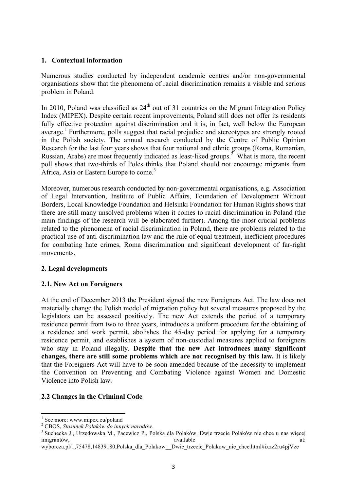#### **1. Contextual information**

Numerous studies conducted by independent academic centres and/or non-governmental organisations show that the phenomena of racial discrimination remains a visible and serious problem in Poland.

In 2010, Poland was classified as  $24<sup>th</sup>$  out of 31 countries on the Migrant Integration Policy Index (MIPEX). Despite certain recent improvements, Poland still does not offer its residents fully effective protection against discrimination and it is, in fact, well below the European average.<sup>1</sup> Furthermore, polls suggest that racial prejudice and stereotypes are strongly rooted in the Polish society. The annual research conducted by the Centre of Public Opinion Research for the last four years shows that four national and ethnic groups (Roma, Romanian, Russian, Arabs) are most frequently indicated as least-liked groups.<sup>2</sup> What is more, the recent poll shows that two-thirds of Poles thinks that Poland should not encourage migrants from Africa, Asia or Eastern Europe to come.<sup>3</sup>

Moreover, numerous research conducted by non-governmental organisations, e.g. Association of Legal Intervention, Institute of Public Affairs, Foundation of Development Without Borders, Local Knowledge Foundation and Helsinki Foundation for Human Rights shows that there are still many unsolved problems when it comes to racial discrimination in Poland (the main findings of the research will be elaborated further). Among the most crucial problems related to the phenomena of racial discrimination in Poland, there are problems related to the practical use of anti-discrimination law and the rule of equal treatment, inefficient procedures for combating hate crimes, Roma discrimination and significant development of far-right movements.

## **2. Legal developments**

#### **2.1. New Act on Foreigners**

At the end of December 2013 the President signed the new Foreigners Act. The law does not materially change the Polish model of migration policy but several measures proposed by the legislators can be assessed positively. The new Act extends the period of a temporary residence permit from two to three years, introduces a uniform procedure for the obtaining of a residence and work permit, abolishes the 45-day period for applying for a temporary residence permit, and establishes a system of non-custodial measures applied to foreigners who stay in Poland illegally. **Despite that the new Act introduces many significant changes, there are still some problems which are not recognised by this law.** It is likely that the Foreigners Act will have to be soon amended because of the necessity to implement the Convention on Preventing and Combating Violence against Women and Domestic Violence into Polish law.

## **2.2 Changes in the Criminal Code**

<sup>!!!!!!!!!!!!!!!!!!!!!!!!!!!!!!!!!!!!!!!!!!!!!!!!!!!!!!!!!!!!</sup>

<sup>&</sup>lt;sup>1</sup> See more: www.mipex.eu/poland<br> $\frac{1}{2}$  CBOS, *Stosunek Polaków do innych narodów*.

<sup>&</sup>lt;sup>3</sup> Suchecka J., Urzedowska M., Pacewicz P., Polska dla Polaków. Dwie trzecie Polaków nie chce u nas wiecej imigrantów, available at:

wyborcza.pl/1,75478,14839180,Polska dla\_Polakow\_\_Dwie\_trzecie\_Polakow\_nie\_chce.html#ixzz2ru4pjVze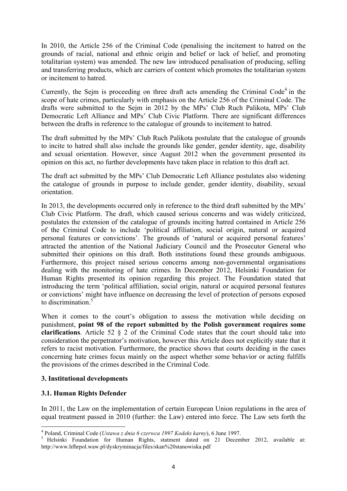In 2010, the Article 256 of the Criminal Code (penalising the incitement to hatred on the grounds of racial, national and ethnic origin and belief or lack of belief, and promoting totalitarian system) was amended. The new law introduced penalisation of producing, selling and transferring products, which are carriers of content which promotes the totalitarian system or incitement to hatred.

Currently, the Sejm is proceeding on three draft acts amending the Criminal Code<sup>4</sup> in the scope of hate crimes, particularly with emphasis on the Article 256 of the Criminal Code. The drafts were submitted to the Sejm in 2012 by the MPs' Club Ruch Palikota, MPs' Club Democratic Left Alliance and MPs' Club Civic Platform. There are significant differences between the drafts in reference to the catalogue of grounds to incitement to hatred.

The draft submitted by the MPs' Club Ruch Palikota postulate that the catalogue of grounds to incite to hatred shall also include the grounds like gender, gender identity, age, disability and sexual orientation. However, since August 2012 when the government presented its opinion on this act, no further developments have taken place in relation to this draft act.

The draft act submitted by the MPs' Club Democratic Left Alliance postulates also widening the catalogue of grounds in purpose to include gender, gender identity, disability, sexual orientation.

In 2013, the developments occurred only in reference to the third draft submitted by the MPs' Club Civic Platform. The draft, which caused serious concerns and was widely criticized, postulates the extension of the catalogue of grounds inciting hatred contained in Article 256 of the Criminal Code to include 'political affiliation, social origin, natural or acquired personal features or convictions'. The grounds of 'natural or acquired personal features' attracted the attention of the National Judiciary Council and the Prosecutor General who submitted their opinions on this draft. Both institutions found these grounds ambiguous. Furthermore, this project raised serious concerns among non-governmental organisations dealing with the monitoring of hate crimes. In December 2012, Helsinki Foundation for Human Rights presented its opinion regarding this project. The Foundation stated that introducing the term 'political affiliation, social origin, natural or acquired personal features or convictions' might have influence on decreasing the level of protection of persons exposed to discrimination.<sup>5</sup>

When it comes to the court's obligation to assess the motivation while deciding on punishment, **point 98 of the report submitted by the Polish government requires some clarifications**. Article 52 § 2 of the Criminal Code states that the court should take into consideration the perpetrator's motivation, however this Article does not explicitly state that it refers to racist motivation. Furthermore, the practice shows that courts deciding in the cases concerning hate crimes focus mainly on the aspect whether some behavior or acting fulfills the provisions of the crimes described in the Criminal Code.

## **3. Institutional developments**

## **3.1. Human Rights Defender**

!!!!!!!!!!!!!!!!!!!!!!!!!!!!!!!!!!!!!!!!!!!!!!!!!!!!!!!!!!!!

In 2011, the Law on the implementation of certain European Union regulations in the area of equal treatment passed in 2010 (further: the Law) entered into force. The Law sets forth the

<sup>&</sup>lt;sup>4</sup> Poland, Criminal Code (*Ustawa z dnia 6 czerwca 1997 Kodeks karny*), 6 June 1997.<br><sup>5</sup> Helsinki Foundation for Human Rights, statment dated on 21 December 2012, available at: http://www.hfhrpol.waw.pl/dyskryminacja/files/skan%20stanowiska.pdf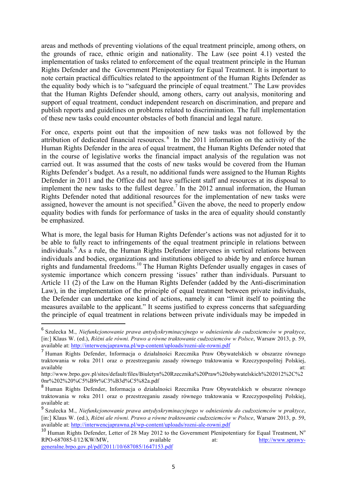areas and methods of preventing violations of the equal treatment principle, among others, on the grounds of race, ethnic origin and nationality. The Law (see point 4.1) vested the implementation of tasks related to enforcement of the equal treatment principle in the Human Rights Defender and the Government Plenipotentiary for Equal Treatment. It is important to note certain practical difficulties related to the appointment of the Human Rights Defender as the equality body which is to "safeguard the principle of equal treatment." The Law provides that the Human Rights Defender should, among others, carry out analysis, monitoring and support of equal treatment, conduct independent research on discrimination, and prepare and publish reports and guidelines on problems related to discrimination. The full implementation of these new tasks could encounter obstacles of both financial and legal nature.

For once, experts point out that the imposition of new tasks was not followed by the attribution of dedicated financial resources. <sup>6</sup> In the 2011 information on the activity of the Human Rights Defender in the area of equal treatment, the Human Rights Defender noted that in the course of legislative works the financial impact analysis of the regulation was not carried out. It was assumed that the costs of new tasks would be covered from the Human Rights Defender's budget. As a result, no additional funds were assigned to the Human Rights Defender in 2011 and the Office did not have sufficient staff and resources at its disposal to implement the new tasks to the fullest degree.<sup>7</sup> In the 2012 annual information, the Human Rights Defender noted that additional resources for the implementation of new tasks were assigned, however the amount is not specified.<sup>8</sup> Given the above, the need to properly endow equality bodies with funds for performance of tasks in the area of equality should constantly be emphasized.

What is more, the legal basis for Human Rights Defender's actions was not adjusted for it to be able to fully react to infringements of the equal treatment principle in relations between individuals.<sup>9</sup> As a rule, the Human Rights Defender intervenes in vertical relations between individuals and bodies, organizations and institutions obliged to abide by and enforce human rights and fundamental freedoms.10 The Human Rights Defender usually engages in cases of systemic importance which concern pressing 'issues' rather than individuals. Pursuant to Article 11 (2) of the Law on the Human Rights Defender (added by the Anti-discrimination Law), in the implementation of the principle of equal treatment between private individuals, the Defender can undertake one kind of actions, namely it can "limit itself to pointing the measures available to the applicant." It seems justified to express concerns that safeguarding the principle of equal treatment in relations between private individuals may be impeded in

<sup>6</sup> Szulecka M., *Niefunkcjonowanie prawa antydyskryminacyjnego w odniesieniu do cudzoziemców w praktyce*, [in:] Klaus W. (ed.), *Różni ale równi. Prawo a równe traktowanie cudzoziemców w Polsce*, Warsaw 2013, p. 59, available at: http://interwencjaprawna.pl/wp-content/uploads/rozni-ale-rowni.pdf

<sup>7</sup> Human Rights Defender, Informacja o działalności Rzecznika Praw Obywatelskich w obszarze równego traktowania w roku 2011 oraz o przestrzeganiu zasady równego traktowania w Rzeczypospolitej Polskiej, available at: and a state at a state at a state at a state at a state at a state at a state at a state at a st

http://www.brpo.gov.pl/sites/default/files/Biuletyn%20Rzecznika%20Praw%20obywatelskich%202012%2C%2 0nr%202%20%C5%B9r%C3%B3d%C5%82a.pdf

<sup>8</sup> Human Rights Defender, Informacja o działalności Rzecznika Praw Obywatelskich w obszarze równego traktowania w roku 2011 oraz o przestrzeganiu zasady równego traktowania w Rzeczypospolitej Polskiej, available at:

<sup>9</sup> Szulecka M., *Niefunkcjonowanie prawa antydyskryminacyjnego w odniesieniu do cudzoziemców w praktyce*, [in:] Klaus W. (ed.), *Różni ale równi. Prawo a równe traktowanie cudzoziemców w Polsce*, Warsaw 2013, p. 59, available at: http://interwencjaprawna.pl/wp-content/uploads/rozni-ale-rowni.pdf

<sup>&</sup>lt;sup>10</sup> Human Rights Defender, Letter of 28 May 2012 to the Government Plenipotentiary for Equal Treatment, N° RPO-687085-I/12/KW/MW, available at: http://www.sprawygeneralne.brpo.gov.pl/pdf/2011/10/687085/1647153.pdf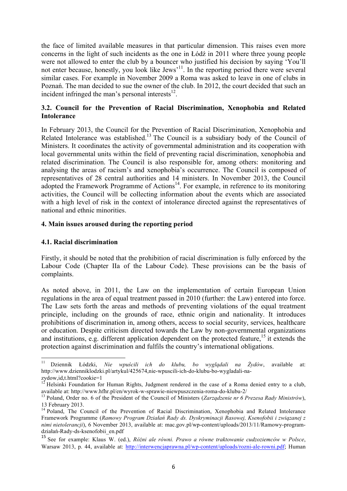the face of limited available measures in that particular dimension. This raises even more concerns in the light of such incidents as the one in Łódź in 2011 where three young people were not allowed to enter the club by a bouncer who justified his decision by saying 'You'll not enter because, honestly, you look like Jews'<sup>11</sup>. In the reporting period there were several similar cases. For example in November 2009 a Roma was asked to leave in one of clubs in Poznań. The man decided to sue the owner of the club. In 2012, the court decided that such an incident infringed the man's personal interests $^{12}$ .

## **3.2. Council for the Prevention of Racial Discrimination, Xenophobia and Related Intolerance**

In February 2013, the Council for the Prevention of Racial Discrimination, Xenophobia and Related Intolerance was established.<sup>13</sup> The Council is a subsidiary body of the Council of Ministers. It coordinates the activity of governmental administration and its cooperation with local governmental units within the field of preventing racial discrimination, xenophobia and related discrimination. The Council is also responsible for, among others: monitoring and analysing the areas of racism's and xenophobia's occurrence. The Council is composed of representatives of 28 central authorities and 14 ministers. In November 2013, the Council adopted the Framework Programme of Actions $14$ . For example, in reference to its monitoring activities, the Council will be collecting information about the events which are associated with a high level of risk in the context of intolerance directed against the representatives of national and ethnic minorities.

#### **4. Main issues aroused during the reporting period**

#### **4.1. Racial discrimination**

!!!!!!!!!!!!!!!!!!!!!!!!!!!!!!!!!!!!!!!!!!!!!!!!!!!!!!!!!!!!

Firstly, it should be noted that the prohibition of racial discrimination is fully enforced by the Labour Code (Chapter IIa of the Labour Code). These provisions can be the basis of complaints.

As noted above, in 2011, the Law on the implementation of certain European Union regulations in the area of equal treatment passed in 2010 (further: the Law) entered into force. The Law sets forth the areas and methods of preventing violations of the equal treatment principle, including on the grounds of race, ethnic origin and nationality. It introduces prohibitions of discrimination in, among others, access to social security, services, healthcare or education. Despite criticism directed towards the Law by non-governmental organizations and institutions, e.g. different application dependent on the protected feature,<sup>15</sup> it extends the protection against discrimination and fulfils the country's international obligations.

<sup>11</sup> Dziennik Łódzki, *Nie wpuścili ich do klubu, bo wyglądali na Żydów*, available at: http://www.dzienniklodzki.pl/artykul/425674,nie-wpuscili-ich-do-klubu-bo-wygladali-nazydow,id,t.html?cookie=1

 $12$  Helsinki Foundation for Human Rights, Judgment rendered in the case of a Roma denied entry to a club, available at: http://www.hfhr.pl/en/wyrok-w-sprawie-niewpuszczenia-roma-do-klubu-2/ <sup>13</sup> Poland, Order no. 6 of the President of the Council of Ministers (*Zarządzenie nr 6 Prezesa Rady Ministrów*),

<sup>13</sup> February 2013.

<sup>&</sup>lt;sup>14</sup> Poland, The Council of the Prevention of Racial Discrimination, Xenophobia and Related Intolerance Framework Programme (*Ramowy Program Działań Rady ds. Dyskryminacji Rasowej, Ksenofobii i związanej z nimi nietolerancji*), 6 November 2013, available at: mac.gov.pl/wp-content/uploads/2013/11/Ramowy-programdziałań-Rady-ds-ksenofobii\_en.pdf

<sup>15</sup> See for example: Klaus W. (ed.), *Różni ale równi. Prawo a równe traktowanie cudzoziemców w Polsce*, Warsaw 2013, p. 44, available at: http://interwencjaprawna.pl/wp-content/uploads/rozni-ale-rowni.pdf; Human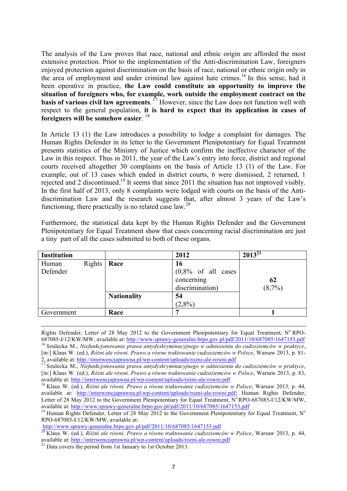The analysis of the Law proves that race, national and ethnic origin are afforded the most extensive protection. Prior to the implementation of the Anti-discrimination Law, foreigners enjoyed protection against discrimination on the basis of race, national or ethnic origin only in the area of employment and under criminal law against hate crimes.<sup>16</sup> In this sense, had it been operative in practice, **the Law could constitute an opportunity to improve the situation of foreigners who, for example, work outside the employment contract on the basis of various civil law agreements**. <sup>17</sup> However, since the Law does not function well with respect to the general population, **it is hard to expect that its application in cases of foreigners will be somehow easier**. <sup>18</sup>

In Article 13 (1) the Law introduces a possibility to lodge a complaint for damages. The Human Rights Defender in its letter to the Government Plenipotentiary for Equal Treatment presents statistics of the Ministry of Justice which confirm the ineffective character of the Law in this respect. Thus in 2011, the year of the Law's entry into force, district and regional courts received altogether 30 complaints on the basis of Article 13 (1) of the Law. For example, out of 13 cases which ended in district courts, 6 were dismissed, 2 returned, 1 rejected and 2 discontinued.<sup>19</sup> It seems that since 2011 the situation has not improved visibly. In the first half of 2013, only 8 complaints were lodged with courts on the basis of the Antidiscrimination Law and the research suggests that, after almost 3 years of the Law's functioning, there practically is no related case law.<sup>20</sup>

Furthermore, the statistical data kept by the Human Rights Defender and the Government Plenipotentiary for Equal Treatment show that cases concerning racial discrimination are just a tiny part of all the cases submitted to both of these organs.

|                    | 2012       | $2013^{21}$                                       |
|--------------------|------------|---------------------------------------------------|
| Race               | 16         |                                                   |
|                    | concerning | 62                                                |
|                    |            | $(8,7\%)$                                         |
| <b>Nationality</b> | 54         |                                                   |
|                    | $(2,8\%)$  |                                                   |
| Race               |            |                                                   |
| Rights             |            | $(0,8\% \text{ of all cases})$<br>discrimination) |

Rights Defender, Letter of 28 May 2012 to the Government Plenipotentiary for Equal Treatment, N° RPO-687085-I/12/KW/MW, available at: http://www.sprawy-generalne.brpo.gov.pl/pdf/2011/10/687085/1647153.pdf <sup>16</sup> Szulecka M., *Niefunkcjonowanie prawa antydyskryminacyjnego w odniesieniu do cudzoziemców w praktyce*, [in:] Klaus W. (ed.), *Różni ale równi. Prawo a równe traktowanie cudzoziemców w Polsce*, Warsaw 2013, p. 81- 2, available at: http://interwencjaprawna.pl/wp-content/uploads/rozni-ale-rowni.pdf <sup>17</sup> Szulecka M., *Niefunkcjonowanie prawa antydyskryminacyjnego w odniesieniu do cudzoziemców w praktyce*,

!!!!!!!!!!!!!!!!!!!!!!!!!!!!!!!!!!!!!!!!!!!!!!!!!!!!!!!!!!!!!!!!!!!!!!!!!!!!!!!!!!!!!!!!!!!!!!!!!!!!!!!!!!!!!!!!!!!!!!!!!!!!!!!!!!!!!!!!!!!!!!!!!!!!!!!!!!!!!!!!!!!!!!!!!!!!!!!!!!!!!!!!!!!!!

<sup>[</sup>in:] Klaus W. (ed.), *Różni ale równi. Prawo a równe traktowanie cudzoziemców w Polsce*, Warsaw 2013, p. 83, available at: http://interwencjaprawna.pl/wp-content/uploads/rozni-ale-rowni.pdf <sup>18</sup> Klaus W. (ed.), *Różni ale równi. Prawo a równe traktowanie cudzoziemców w Polsce*, Warsaw 2013, p. 44,

available at: http://interwencjaprawna.pl/wp-content/uploads/rozni-ale-rowni.pdf; Human Rights Defender, Letter of 28 May 2012 to the Government Plenipotentiary for Equal Treatment,  $N^{\circ}$ RPO-687085-I/12/KW/MW, available at: http://www.sprawy-generalne.brpo.gov.pl/pdf/2011/10/687085/1647153.pdf<br><sup>19</sup> Human Rights Defender, Letter of 28 May 2012 to the Government Plenipotentiary for Equal Treatment, N<sup>o</sup>

RPO-687085-I/12/KW/MW, available at:<br>http://www.sprawy-generalne.brpo.gov.pl/pdf/2011/10/687085/1647153.pdf

http://www.sprawy-generalne.brpo.gov.prp.m.es.com/2011/2011/2012/2012/02/1647163.pdf<br><sup>20</sup> Klaus W. (ed.), *Różni ale równi. Prawo a równe traktowanie cudzoziemców w Polsce*, Warsaw 2013, p. 44, available at: http://interwencjaprawna.pl/wp-content/uploads/rozni-ale-rowni.pdf <sup>21</sup> Data covers the period from 1st January to 1st October 2013.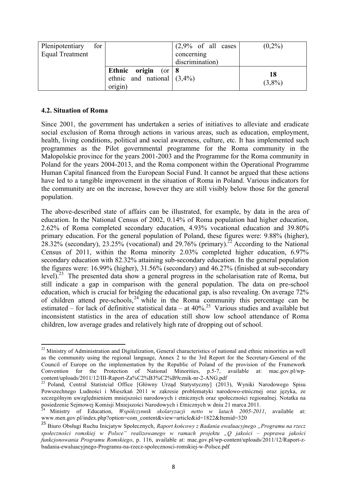| Plenipotentiary        | for |                               | $(2,9\% \text{ of all cases})$ | $(0,2\%)$ |
|------------------------|-----|-------------------------------|--------------------------------|-----------|
| <b>Equal Treatment</b> |     |                               | concerning                     |           |
|                        |     |                               | discrimination)                |           |
|                        |     | Ethnic origin (or $8$         |                                |           |
|                        |     | ethnic and national $(3,4\%)$ |                                | 18        |
|                        |     | origin)                       |                                | $(3,8\%)$ |

#### **4.2. Situation of Roma**

!!!!!!!!!!!!!!!!!!!!!!!!!!!!!!!!!!!!!!!!!!!!!!!!!!!!!!!!!!!!

Since 2001, the government has undertaken a series of initiatives to alleviate and eradicate social exclusion of Roma through actions in various areas, such as education, employment, health, living conditions, political and social awareness, culture, etc. It has implemented such programmes as the Pilot governmental programme for the Roma community in the Małopolskie province for the years 2001-2003 and the Programme for the Roma community in Poland for the years 2004-2013, and the Roma component within the Operational Programme Human Capital financed from the European Social Fund. It cannot be argued that these actions have led to a tangible improvement in the situation of Roma in Poland. Various indicators for the community are on the increase, however they are still visibly below those for the general population.

The above-described state of affairs can be illustrated, for example, by data in the area of education. In the National Census of 2002, 0.14% of Roma population had higher education, 2.62% of Roma completed secondary education, 4.93% vocational education and 39.80% primary education. For the general population of Poland, these figures were: 9.88% (higher),  $28.32\%$  (secondary), 23.25% (vocational) and 29.76% (primary).<sup>22</sup> According to the National Census of 2011, within the Roma minority 2.03% completed higher education, 6.97% secondary education with 82.32% attaining sub-secondary education. In the general population the figures were: 16.99% (higher), 31.56% (secondary) and 46.27% (finished at sub-secondary level).<sup>23</sup> The presented data show a general progress in the scholarisation rate of Roma, but still indicate a gap in comparison with the general population. The data on pre-school education, which is crucial for bridging the educational gap, is also revealing. On average 72% of children attend pre-schools, <sup>24</sup> while in the Roma community this percentage can be estimated – for lack of definitive statistical data – at  $40\%$ <sup>25</sup> Various studies and available but inconsistent statistics in the area of education still show low school attendance of Roma children, low average grades and relatively high rate of dropping out of school.

 $22$  Ministry of Administration and Digitalization, General characteristics of national and ethnic minorities as well as the community using the regional language, Annex 2 to the 3rd Report for the Secretary-General of the Council of Europe on the implementation by the Republic of Poland of the provision of the Framework Convention for the Protection of National Minorities, p.5-7, available at: mac.gov.pl/wpcontent/uploads/2011/12/III-Raport-Za%C2%B3%C2%B9cznik-nr-2-ANG.pdf <sup>23</sup> Poland, Central Statistcial Office [Główny Urząd Statystyczny] (2013), Wyniki Narodowego Spisu

Powszechnego Ludności i Mieszkań 2011 w zakresie problematyki narodowo-etnicznej oraz języka, ze szczególnym uwzględnieniem mniejszości narodowych i etnicznych oraz społeczności regionalnej. Notatka na posiedzenie Sejmowej Komisji Mniejszości Narodowych i Etnicznych w dniu 21 marca 2011.

posiedzenie Sejmowej Komisji Mniejszości Narodowych i Etnicznych w dniu 21 marca 2011. <sup>24</sup> Ministry of Education, *Współczynnik skolaryzacji netto w latach 2005-2011*, available at: www.men.gov.pl/index.php?option=com\_content&view=article&id=1822&Itemid=320

<sup>25</sup> Biuro Obsługi Ruchu Inicjatyw Społecznych, *Raport końcowy z Badania ewaluacyjnego "Programu na rzecz społeczności romskiej w Polsce" realizowanego w ramach projektu "Q jakości – poprawa jakości funkcjonowania Programu Romskiego*, p. 116, available at: mac.gov.pl/wp-content/uploads/2011/12/Raport-zbadania-ewaluacyjnego-Programu-na-rzecz-spolecznosci-romskiej-w-Polsce.pdf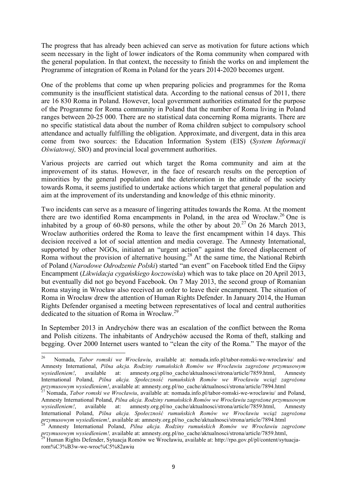The progress that has already been achieved can serve as motivation for future actions which seem necessary in the light of lower indicators of the Roma community when compared with the general population. In that context, the necessity to finish the works on and implement the Programme of integration of Roma in Poland for the years 2014-2020 becomes urgent.

One of the problems that come up when preparing policies and programmes for the Roma community is the insufficient statistical data. According to the national census of 2011, there are 16 830 Roma in Poland. However, local government authorities estimated for the purpose of the Programme for Roma community in Poland that the number of Roma living in Poland ranges between 20-25 000. There are no statistical data concerning Roma migrants. There are no specific statistical data about the number of Roma children subject to compulsory school attendance and actually fulfilling the obligation. Approximate, and divergent, data in this area come from two sources: the Education Information System (EIS) (*System Informacji Oświatowej,* SIO) and provincial local government authorities.

Various projects are carried out which target the Roma community and aim at the improvement of its status. However, in the face of research results on the perception of minorities by the general population and the deterioration in the attitude of the society towards Roma, it seems justified to undertake actions which target that general population and aim at the improvement of its understanding and knowledge of this ethnic minority.

Two incidents can serve as a measure of lingering attitudes towards the Roma. At the moment there are two identified Roma encampments in Poland, in the area od Wrocław.<sup>26</sup> One is inhabited by a group of 60-80 persons, while the other by about  $20^{27}$  On 26 March 2013, Wroclaw authorities ordered the Roma to leave the first encampment within 14 days. This decision received a lot of social attention and media coverage. The Amnesty International, supported by other NGOs, initiated an "urgent action" against the forced displacement of Roma without the provision of alternative housing.<sup>28</sup> At the same time, the National Rebirth of Poland (*Narodowe Odrodzenie Polski*) started "an event" on Facebook titled End the Gipsy Encampment (*Likwidacja cygańskiego koczowiska*) which was to take place on 20 April 2013, but eventually did not go beyond Facebook. On 7 May 2013, the second group of Romanian Roma staying in Wrocław also received an order to leave their encampment. The situation of Roma in Wrocław drew the attention of Human Rights Defender. In January 2014, the Human Rights Defender organised a meeting between representatives of local and central authorities dedicated to the situation of Roma in Wrocław.<sup>29</sup>

In September 2013 in Andrychów there was an escalation of the conflict between the Roma and Polish citizens. The inhabitants of Andrychów accused the Roma of theft, stalking and begging. Over 2000 Internet users wanted to "clean the city of the Roma." The mayor of the

<sup>26</sup> Nomada, *Tabor romski we Wrocławiu*, available at: nomada.info.pl/tabor-romski-we-wroclawiu/ and Amnesty International, *Pilna akcja. Rodziny rumuńskich Romów we Wrocławiu zagrożone przymusowym wysiedleniem!*, available at: amnesty.org.pl/no\_cache/aktualnosci/strona/article/7859.html, Amnesty International Poland, *Pilna akcja. Społeczność rumuńskich Romów we Wrocławiu wciąż zagrożona*  przymusowym wysiedleniem!, available at: amnesty.org.pl/no\_cache/aktualnosci/strona/article/7894.html  $\frac{27}{27}$  Nomada, *Tabor romski we Wrocławiu*, available at: nomada.info.pl/tabor-romski-we-wroclawiu/ and Poland,

Amnesty International Poland, *Pilna akcja. Rodziny rumuńskich Romów we Wrocławiu zagrożone przymusowym wysiedleniem!*, available at: amnesty.org.pl/no\_cache/aktualnosci/strona/article/7859.html, Amnesty International Poland, *Pilna akcja. Społeczność rumuńskich Romów we Wrocławiu wciąż zagrożona*  przymusowym wysiedleniem!, available at: amnesty.org.pl/no\_cache/aktualnosci/strona/article/7894.html<br><sup>28</sup> Amnesty International Poland, *Pilna akcja. Rodziny rumuńskich Romów we Wrocławiu zagrożone* 

*przymusowym wysiedleniem!,* available at: amnesty.org.pl/no\_cache/aktualnosci/strona/article/7859.html, 29 Human Rights Defender, Sytuacja Romów we Wrocławiu, available at: http://rpo.gov.pl/pl/content/sytuacja-

rom%C3%B3w-we-wroc%C5%82awiu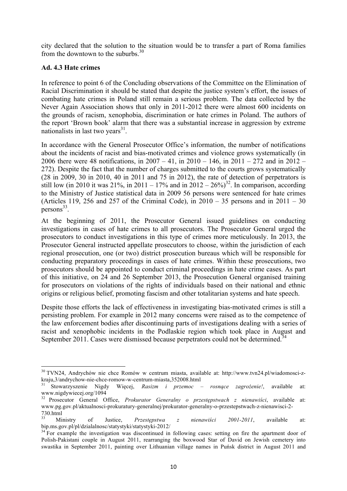city declared that the solution to the situation would be to transfer a part of Roma families from the downtown to the suburbs. $30$ 

#### **Ad. 4.3 Hate crimes**

!!!!!!!!!!!!!!!!!!!!!!!!!!!!!!!!!!!!!!!!!!!!!!!!!!!!!!!!!!!!

In reference to point 6 of the Concluding observations of the Committee on the Elimination of Racial Discrimination it should be stated that despite the justice system's effort, the issues of combating hate crimes in Poland still remain a serious problem. The data collected by the Never Again Association shows that only in 2011-2012 there were almost 600 incidents on the grounds of racism, xenophobia, discrimination or hate crimes in Poland. The authors of the report 'Brown book' alarm that there was a substantial increase in aggression by extreme nationalists in last two years $31$ .

In accordance with the General Prosecutor Office's information, the number of notifications about the incidents of racist and bias-motivated crimes and violence grows systematically (in 2006 there were 48 notifications, in 2007 – 41, in 2010 – 146, in 2011 – 272 and in 2012 – 272). Despite the fact that the number of charges submitted to the courts grows systematically (28 in 2009, 30 in 2010, 40 in 2011 and 75 in 2012), the rate of detection of perpetrators is still low (in 2010 it was  $21\%$ , in 2011 – 17% and in  $2012 - 26\%$ )<sup>32</sup>. In comparison, according to the Ministry of Justice statistical data in 2009 56 persons were sentenced for hate crimes (Articles 119, 256 and 257 of the Criminal Code), in  $2010 - 35$  persons and in  $2011 - 30$ persons $33$ .

At the beginning of 2011, the Prosecutor General issued guidelines on conducting investigations in cases of hate crimes to all prosecutors. The Prosecutor General urged the prosecutors to conduct investigations in this type of crimes more meticulously. In 2013, the Prosecutor General instructed appellate prosecutors to choose, within the jurisdiction of each regional prosecution, one (or two) district prosecution bureaus which will be responsible for conducting preparatory proceedings in cases of hate crimes. Within these prosecutions, two prosecutors should be appointed to conduct criminal proceedings in hate crime cases. As part of this initiative, on 24 and 26 September 2013, the Prosecution General organised training for prosecutors on violations of the rights of individuals based on their national and ethnic origins or religious belief, promoting fascism and other totalitarian systems and hate speech.

Despite those efforts the lack of effectiveness in investigating bias-motivated crimes is still a persisting problem. For example in 2012 many concerns were raised as to the competence of the law enforcement bodies after discontinuing parts of investigations dealing with a series of racist and xenophobic incidents in the Podlaskie region which took place in August and September 2011. Cases were dismissed because perpetrators could not be determined.<sup>34</sup>

<sup>&</sup>lt;sup>30</sup> TVN24, Andrychów nie chce Romów w centrum miasta, available at: http://www.tvn24.pl/wiadomosci-zkraju,3/andrychow-nie-chce-romow-w-centrum-miasta,352008.html <sup>31</sup> Stowarzyszenie Nigdy Więcej, *Rasizm i przemoc – rosnące zagrożenie!*, available at:

www.nigdywiecej.org/1094

<sup>32</sup> Prosecutor General Office, *Prokurator Generalny o przestępstwach z nienawiści*, available at: www.pg.gov.pl/aktualnosci-prokuratury-generalnej/prokurator-generalny-o-przestepstwach-z-nienawisci-2- 730.html

<sup>33</sup> Ministry of Justice, *Przestępstwa z nienawiści 2001-2011*, available at: bip.ms.gov.pl/pl/dzialalnosc/statystyki/statystyki-2012/<br><sup>34</sup> For example the investigation was discontinued in following cases: setting on fire the apartment door of

Polish-Pakistani couple in August 2011, rearranging the boxwood Star of David on Jewish cemetery into swastika in September 2011, painting over Lithuanian village names in Puńsk district in August 2011 and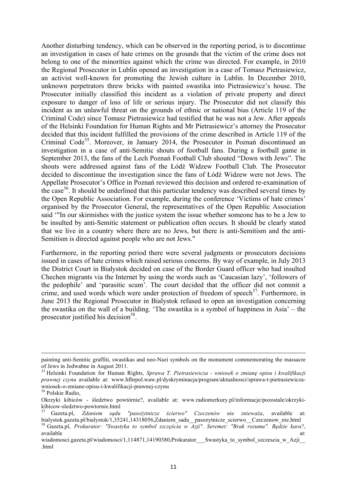Another disturbing tendency, which can be observed in the reporting period, is to discontinue an investigation in cases of hate crimes on the grounds that the victim of the crime does not belong to one of the minorities against which the crime was directed. For example, in 2010 the Regional Prosecutor in Lublin opened an investigation in a case of Tomasz Pietrasiewicz, an activist well-known for promoting the Jewish culture in Lublin. In December 2010, unknown perpetrators threw bricks with painted swastika into Pietrasiewicz's house. The Prosecutor initially classified this incident as a violation of private property and direct exposure to danger of loss of life or serious injury. The Prosecutor did not classify this incident as an unlawful threat on the grounds of ethnic or national bias (Article 119 of the Criminal Code) since Tomasz Pietrasiewicz had testified that he was not a Jew. After appeals of the Helsinki Foundation for Human Rights and Mr Pietrasiewicz's attorney the Prosecutor decided that this incident fulfilled the provisions of the crime described in Article 119 of the Criminal Code<sup>35</sup>. Moreover, in January 2014, the Prosecutor in Poznań discontinued an investigation in a case of anti-Semitic shouts of football fans. During a football game in September 2013, the fans of the Lech Poznań Football Club shouted "Down with Jews". The shouts were addressed against fans of the Łódź Widzew Football Club. The Prosecutor decided to discontinue the investigation since the fans of Łódź Widzew were not Jews. The Appellate Prosecutor's Office in Poznań reviewed this decision and ordered re-examination of the case36. It should be underlined that this particular tendency was described several times by the Open Republic Association. For example, during the conference 'Victims of hate crimes' organised by the Prosecutor General, the representatives of the Open Republic Association said '"In our skirmishes with the justice system the issue whether someone has to be a Jew to be insulted by anti-Semitic statement or publication often occurs. It should be clearly stated that we live in a country where there are no Jews, but there is anti-Semitism and the anti-Semitism is directed against people who are not Jews."

Furthermore, in the reporting period there were several judgments or prosecutors decisions issued in cases of hate crimes which raised serious concerns. By way of example, in July 2013 the District Court in Białystok decided on case of the Border Guard officer who had insulted Chechen migrants via the Internet by using the words such as 'Caucasian lazy', 'followers of the pedophile' and 'parasitic scum'. The court decided that the officer did not commit a crime, and used words which were under protection of freedom of speech<sup>37</sup>. Furthermore, in June 2013 the Regional Prosecutor in Bialystok refused to open an investigation concerning the swastika on the wall of a building. 'The swastika is a symbol of happiness in Asia' – the prosecutor justified his decision $38$ .

<sup>!!!!!!!!!!!!!!!!!!!!!!!!!!!!!!!!!!!!!!!!!!!!!!!!!!!!!!!!!!!!!!!!!!!!!!!!!!!!!!!!!!!!!!!!!!!!!!!!!!!!!!!!!!!!!!!!!!!!!!!!!!!!!!!!!!!!!!!!!!!!!!!!!!!!!!!!!!!!!!!!!!!!!!!!!!!!!!!!!!!!!!!!!!!!!</sup> painting anti-Semitic graffiti, swastikas and neo-Nazi symbols on the monument commemorating the massacre of Jews in Jedwabne in August 2011. <sup>35</sup> Helsinki Foundation for Human Rights, *Sprawa T. Pietrasiewicza - wniosek o zmianę opisu i kwalifikacji* 

*prawnej czynu* available at: www.hfhrpol.waw.pl/dyskryminacja/program/aktualnosci/sprawa-t-pietrasiewiczawniosek-o-zmiane-opisu-i-kwalifikacji-prawnej-czynu <sup>36</sup> Polskie Radio,

Okrzyki kibiców - śledztwo powtórnie?, available at: www.radiomerkury.pl/informacje/pozostale/okrzykikibicow-sledztwo-powtornie.html <sup>37</sup> Gazeta.pl, *Zdaniem sądu "pasożytnicze ścierwo" Czeczenów nie znieważa*, available at:

bialystok.gazeta.pl/bialystok/1,35241,14318056,Zdaniem\_sadu\_\_pasozytnicze\_scierwo\_\_Czeczenow\_nie.html

<sup>38</sup> Gazeta.pl, *Prokurator: "Swastyka to symbol szczęścia w Azji". Seremet: "Brak rozumu". Będzie kara?*, available at: and a state at a state at a state at a state at a state at a state at a state at a state at a st

wiadomosci.gazeta.pl/wiadomosci/1,114871,14190380,Prokurator\_\_\_Swastyka\_to\_symbol\_szczescia\_w\_Azji .html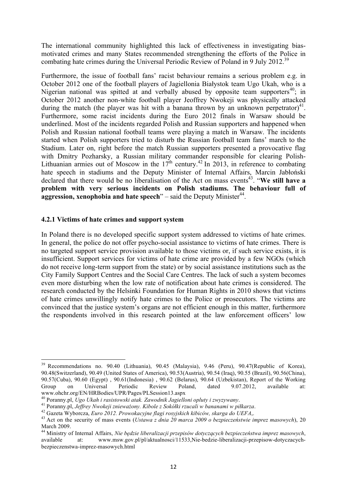The international community highlighted this lack of effectiveness in investigating biasmotivated crimes and many States recommended strengthening the efforts of the Police in combating hate crimes during the Universal Periodic Review of Poland in 9 July 2012.<sup>39</sup>

Furthermore, the issue of football fans' racist behaviour remains a serious problem e.g. in October 2012 one of the football players of Jagiellonia Białystok team Ugo Ukah, who is a Nigerian national was spitted at and verbally abused by opposite team supporters<sup>40</sup>; in October 2012 another non-white football player Jeoffrey Nwokeji was physically attacked during the match (the player was hit with a banana thrown by an unknown perpetrator)<sup>41</sup>. Furthermore, some racist incidents during the Euro 2012 finals in Warsaw should be underlined. Most of the incidents regarded Polish and Russian supporters and happened when Polish and Russian national football teams were playing a match in Warsaw. The incidents started when Polish supporters tried to disturb the Russian football team fans' march to the Stadium. Later on, right before the match Russian supporters presented a provocative flag with Dmitry Pozharsky, a Russian military commander responsible for clearing Polish-Lithuanian armies out of Moscow in the  $17<sup>th</sup>$  century.<sup>42</sup> In 2013, in reference to combating hate speech in stadiums and the Deputy Minister of Internal Affairs, Marcin Jabłoński declared that there would be no liberalisation of the Act on mass events<sup>43</sup>. "We still have a **problem with very serious incidents on Polish stadiums. The behaviour full of aggression, xenophobia and hate speech**" – said the Deputy Minister<sup>44</sup>.

#### **4.2.1 Victims of hate crimes and support system**

!!!!!!!!!!!!!!!!!!!!!!!!!!!!!!!!!!!!!!!!!!!!!!!!!!!!!!!!!!!!

In Poland there is no developed specific support system addressed to victims of hate crimes. In general, the police do not offer psycho-social assistance to victims of hate crimes. There is no targeted support service provision available to those victims or, if such service exists, it is insufficient. Support services for victims of hate crime are provided by a few NGOs (which do not receive long-term support from the state) or by social assistance institutions such as the City Family Support Centres and the Social Care Centres. The lack of such a system becomes even more disturbing when the low rate of notification about hate crimes is considered. The research conducted by the Helsinki Foundation for Human Rights in 2010 shows that victims of hate crimes unwillingly notify hate crimes to the Police or prosecutors. The victims are convinced that the justice system's organs are not efficient enough in this matter, furthermore the respondents involved in this research pointed at the law enforcement officers' low

<sup>39</sup> Recommendations no. 90.40 (Lithuania), 90.45 (Malaysia), 9.46 (Peru), 90.47(Republic of Korea), 90.48(Switzerland), 90.49 (United States of America), 90.53(Austria), 90.54 (Iraq), 90.55 (Brazil), 90.56(China), 90.57(Cuba), 90.60 (Egypt) , 90.61(Indonesia) , 90.62 (Belarus), 90.64 (Uzbekistan), Report of the Working Group on Universal Periodic Review Poland, dated 9.07.2012, available at: www.ohchr.org/EN/HRBodies/UPR/Pages/PLSession13.aspx<br><sup>40</sup> Poranny.pl, *Ugo Ukah i rasistowski atak. Zawodnik Jagielloni opluty i zwyzywany.*<br><sup>41</sup> Poranny.pl, *Jeffrey Nwokeji znieważony. Kibole z Sokółki rzucali w bananami* 

March 2009.

<sup>44</sup> Ministry of Internal Affairs, *Nie będzie liberalizacji przepisów dotyczących bezpieczeństwa imprez masowych*, available at: www.msw.gov.pl/pl/aktualnosci/11533,Nie-bedzie-liberalizacji-przepisow-dotyczacychbezpieczenstwa-imprez-masowych.html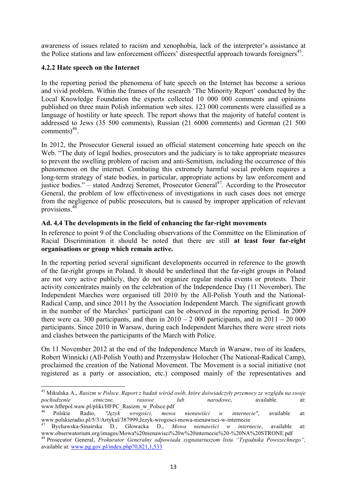awareness of issues related to racism and xenophobia, lack of the interpreter's assistance at the Police stations and law enforcement officers' disrespectful approach towards foreigners<sup>45</sup>.

## **4.2.2 Hate speech on the Internet**

!!!!!!!!!!!!!!!!!!!!!!!!!!!!!!!!!!!!!!!!!!!!!!!!!!!!!!!!!!!!

In the reporting period the phenomena of hate speech on the Internet has become a serious and vivid problem. Within the frames of the research 'The Minority Report' conducted by the Local Knowledge Foundation the experts collected 10 000 000 comments and opinions published on three main Polish information web sites. 123 000 comments were classified as a language of hostility or hate speech. The report shows that the majority of hateful content is addressed to Jews (35 500 comments), Russian (21 6000 comments) and German (21 500 comments $)^{46}$ .

In 2012, the Prosecutor General issued an official statement concerning hate speech on the Web. "The duty of legal bodies, prosecutors and the judiciary is to take appropriate measures to prevent the swelling problem of racism and anti-Semitism, including the occurrence of this phenomenon on the internet. Combating this extremely harmful social problem requires a long-term strategy of state bodies, in particular, appropriate actions by law enforcement and justice bodies." – stated Andrzej Seremet, Prosecutor General<sup>47</sup>. According to the Prosecutor General, the problem of low effectiveness of investigations in such cases does not emerge from the negligence of public prosecutors, but is caused by improper application of relevant provisions.<sup>48</sup>

# **Ad. 4.4 The developments in the field of enhancing the far-right movements**

In reference to point 9 of the Concluding observations of the Committee on the Elimination of Racial Discrimination it should be noted that there are still **at least four far-right organisations or group which remain active.** 

In the reporting period several significant developments occurred in reference to the growth of the far-right groups in Poland. It should be underlined that the far-right groups in Poland are not very active publicly, they do not organize regular media events or protests. Their activity concentrates mainly on the celebration of the Independence Day (11 November). The Independent Marches were organised till 2010 by the All-Polish Youth and the National-Radical Camp, and since 2011 by the Association Independent March. The significant growth in the number of the Marches' participant can be observed in the reporting period. In 2009 there were ca. 300 participants, and then in  $2010 - 2000$  participants, and in  $2011 - 20000$ participants. Since 2010 in Warsaw, during each Independent Marches there were street riots and clashes between the participants of the March with Police.

On 11 November 2012 at the end of the Independence March in Warsaw, two of its leaders, Robert Winnicki (All-Polish Youth) and Przemysław Holocher (The National-Radical Camp), proclaimed the creation of the National Movement. The Movement is a social initiative (not registered as a party or association, etc.) composed mainly of the representatives and

<sup>45</sup> Mikulska A., *Rasizm w Polsce. Raport z badań wśród osób, które doświadczyły przemocy ze względu na swoje pochodzenie etniczne, rasowe lub narodowe*, available at: www.hfhrpol.waw.pl/pliki/HFPC\_Rasizm\_w\_Polsce.pdf

<sup>46</sup> Polskie Radio, *"Język wrogości, mowa nienawiści w internecie"*, available at:

www.polskieradio.pl/5/3/Artykul/387999,Jezyk-wrogosci-mowa-nienawisci-w-internecie<br>
<sup>47</sup> Bychawska-Sinairska D., Głowacka D., *Mowa nienawiści w internecie*, available at:<br>
www.obserwatorium.org/images/Mowa%20nienawisci%20

<sup>&</sup>lt;sup>48</sup> Prosecutor General, *Prokurator Generalny odpowiada sygnatariuszom listu "Tygodnika Powszechnego"*, available at: www.pg.gov.pl/index.php?0,821,1,533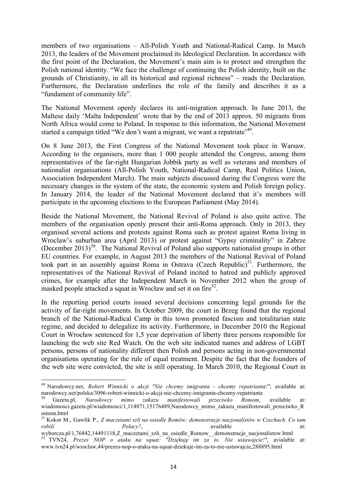members of two organisations – All-Polish Youth and National-Radical Camp. In March 2013, the leaders of the Movement proclaimed its Ideological Declaration. In accordance with the first point of the Declaration, the Movement's main aim is to protect and strengthen the Polish national identity. "We face the challenge of continuing the Polish identity, built on the grounds of Christianity, in all its historical and regional richness" – reads the Declaration. Furthermore, the Declaration underlines the role of the family and describes it as a "fundament of community life".

The National Movement openly declares its anti-migration approach. In June 2013, the Maltese daily 'Malta Independent' wrote that by the end of 2013 approx. 50 migrants from North Africa would come to Poland. In response to this information, the National Movement started a campaign titled "We don't want a migrant, we want a repatriate<sup>, 49</sup>.

On 8 June 2013, the First Congress of the National Movement took place in Warsaw. According to the organisers, more than 1 000 people attended the Congress, among them representatives of the far-right Hungarian Jobbik party as well as veterans and members of nationalist organisations (All-Polish Youth, National-Radical Camp, Real Politics Union, Association Independent March). The main subjects discussed during the Congress were the necessary changes in the system of the state, the economic system and Polish foreign policy. In January 2014, the leader of the National Movement declared that it's members will participate in the upcoming elections to the European Parliament (May 2014).

Beside the National Movement, the National Revival of Poland is also quite active. The members of the organisation openly present their anti-Roma approach. Only in 2013, they organised several actions and protests against Roma such as protest against Roma living in Wroclaw's suburban area (April 2013) or protest against "Gypsy criminality" in Zabrze (December 2013)<sup>50</sup>. The National Revival of Poland also supports nationalist groups in other EU countries. For example, in August 2013 the members of the National Revival of Poland took part in an assembly against Roma in Ostrava (Czech Republic)<sup>51</sup>. Furthermore, the representatives of the National Revival of Poland incited to hatred and publicly approved crimes, for example after the Independent March in November 2012 when the group of masked people attacked a squat in Wrocław and set it on fire<sup>52</sup>.

In the reporting period courts issued several decisions concerning legal grounds for the activity of far-right movements. In October 2009, the court in Brzeg found that the regional branch of the National-Radical Camp in this town promoted fascism and totalitarian state regime, and decided to delegalize its activity. Furthermore, in December 2010 the Regional Court in Wrocław sentenced for 1,5 year deprivation of liberty three persons responsible for launching the web site Red Watch. On the web site indicated names and address of LGBT persons, persons of nationality different then Polish and persons acting in non-governmental organisations operating for the rule of equal treatment. Despite the fact that the founders of the web site were convicted, the site is still operating. In March 2010, the Regional Court in

<sup>49</sup> Narodowcy.net, *Robert Winnicki o akcji "Nie chcemy imigranta - chcemy repatrianta!"*, available at: narodowcy.net/polska/3096-robert-winnicki-o-akcji-nie-chcemy-imigranta-chcemy-repatrianta <sup>50</sup> Gazeta.pl, *Narodowcy mimo zakazu manifestowali przeciwko Romom*, available at:

wiadomosci.gazeta.pl/wiadomosci/1,114871,15176489,Narodowcy\_mimo\_zakazu\_manifestowali\_przeciwko\_R omom.html

<sup>51</sup> Kokot M., Gawlik P., *Z maczetami szli na osiedle Romów: demonstracje nacjonalistów w Czechach. Co tam robili Polacy?*, and *Polacy?*, and *robili* available at:

wyborcza.pl/1,76842,14491118,Z\_maczetami\_szli\_na\_osiedle\_Romow\_\_demonstracje\_nacjonalistow.html

<sup>52</sup> TVN24, *Prezes NOP o ataku na squat: "Dziękuję im za to. Nie ustawajcie!"*, avialable at: www.tvn24.pl/wroclaw,44/prezes-nop-o-ataku-na-squat-dziekuje-im-za-to-nie-ustawajcie,288895.html